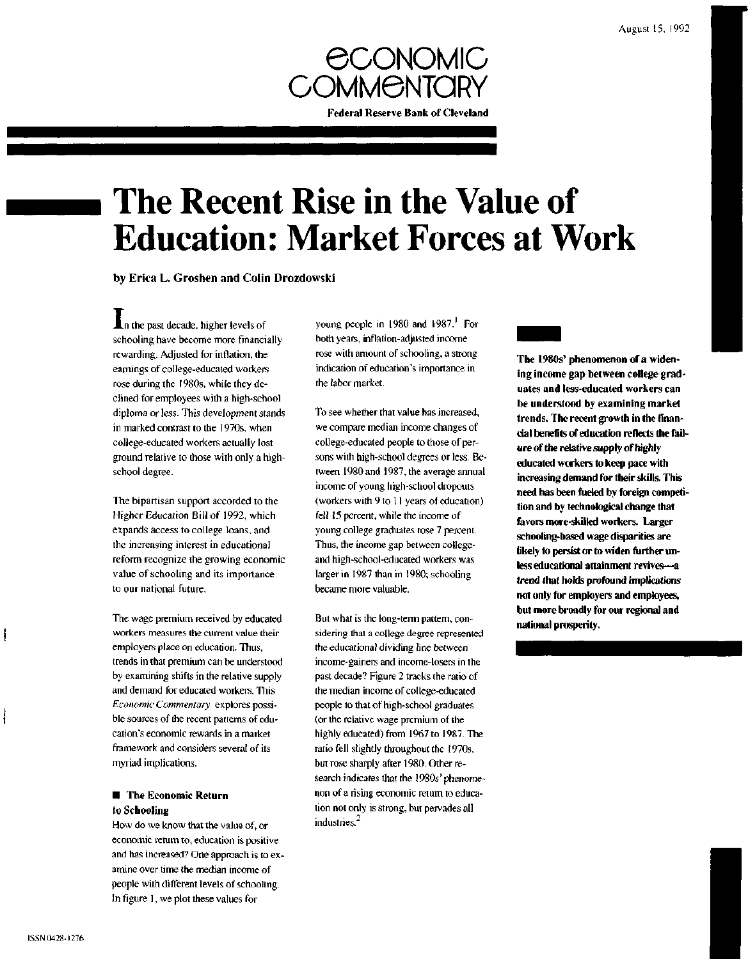

# **The Recent Rise in the Value of Education: Market Forces at Work**

by Erica L. Groshen and Colin Drozdowski

**An** the past decade, higher levels of schooling have become more financially rewarding. Adjusted for inflation, the earnings of college-educated workers rose during the 1980s, while they declined for employees with a high-school diploma or less. This development stands in marked contrast to the 1970s, when college-educated workers actually lost ground relative to those with only a highschool degree.

The bipartisan support accorded to the Higher Education Bill of 1992, which expands access to college loans, and the increasing interest in educational reform recognize the growing economic value of schooling and its importance to our national future.

The wage premium received by educated workers measures the current value their employers place on education. Thus, trends in that premium can be understood by examining shifts in the relative supply and demand for educated workers. This *Economic Commentary* explores possible sources of the recent patterns of education's economic rewards in a market framework and considers several of its myriad implications.

### **• The Economic Return to Schooling**

How do we know that the value of, or economic return to, education is positive and has increased? One approach is to examine over time the median income of people with different levels of schooling. In figure 1, we plot these values for

young people in 1980 and 1987.<sup>1</sup> For both years, inflation-adjusted income rose with amount of schooling, a strong indication of education's importance in the labor market.

To see whether that value has increased, we compare median income changes of college-educated people to those of persons with high-school degrees or less. Between 1980 and 1987, the average annual income of young high-school dropouts (workers with 9 to 11 years of education) fell 15 percent, while the income of young college graduates rose 7 percent. Thus, the income gap between collegeand high-school-educated workers was larger in 1987 than in 1980; schooling became more valuable.

But what is the long-term pattern, considering that a college degree represented the educational dividing line between income-gainers and income-losers in the past decade? Figure 2 tracks the ratio of the median income of college-educated people to that of high-school graduates (or the relative wage premium of the highly educated) from 1967 to 1987. The ratio fell slightly throughout the 1970s, but rose sharply after 1980. Other research indicates that the 1980s' phenomenon of a rising economic return to education not only is strong, but pervades all industries.<sup>2</sup>

**The 1980s' phenomenon of a widening income gap between college graduates and less-educated workers can be understood by examining market trends. The recent growth in the financial benefits of education reflects the failure of the relative supply of highly educated workers to keep pace with increasing demand for their skills. This need has been fueled by foreign competition and by technological change that favors more-skilled workers. Larger schooling-based wage disparities are likely to persist or to widen further unless educational attainment revives—a trend that holds profound implications not only for employers and employees, but more broadly for our regional and national prosperity.**

i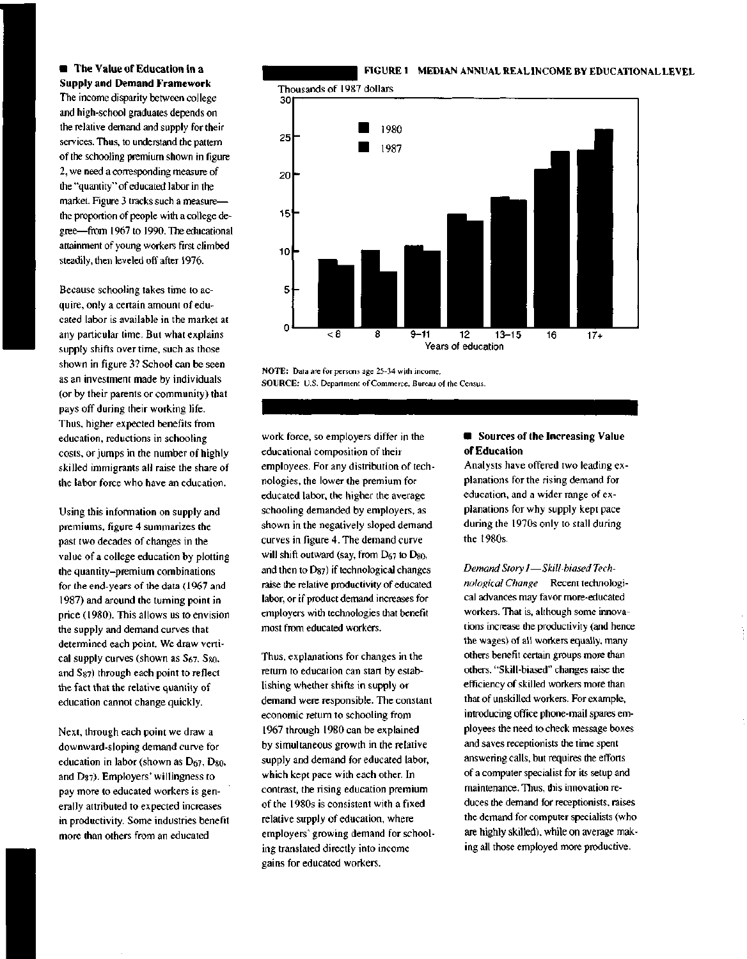**• The Value of Education in a Supply and Demand Framework** The income disparity between college and high-school graduates depends on the relative demand and supply for their services. Thus, to understand the pattern of the schooling premium shown in figure 2, we need a corresponding measure of the "quantity" of educated labor in the market. Figure 3 tracks such a measure the proportion of people with a college degree—from 1967 to 1990. The educational attainment of young workers first climbed steadily, then leveled off after 1976.

Because schooling takes time to acquire, only a certain amount of educated labor is available in the market at any particular time. But what explains supply shifts over time, such as those shown in figure 3? School can be seen as an investment made by individuals (or by their parents or community) that pays off during their working life. Thus, higher expected benefits from education, reductions in schooling costs, or jumps in the number of highly skilled immigrants all raise the share of the labor force who have an education.

Using this information on supply and premiums, figure 4 summarizes the past two decades of changes in the value of a college education by plotting the quantity-premium combinations for the end-years of the data (1967 and 1987) and around the turning point in price (1980). This allows us to envision the supply and demand curves that determined each point. We draw vertical supply curves (shown as  $S_{67}$ ,  $S_{80}$ , and Ss7) through each point to reflect the fact that the relative quantity of education cannot change quickly.

Next, through each point we draw a downward-sloping demand curve for education in labor (shown as  $D_{67}$ ,  $D_{80}$ , and D87). Employers' willingness to pay more to educated workers is generally attributed to expected increases in productivity. Some industries benefit more than others from an educated

work force, so employers differ in the educational composition of their employees. For any distribution of technologies, the lower the premium for educated labor, the higher the average schooling demanded by employers, as shown in the negatively sloped demand curves in figure 4. The demand curve will shift outward (say, from  $D_{67}$  to  $D_{80}$ , and then to D87) if technological changes raise the relative productivity of educated labor, or if product demand increases for employers with technologies that benefit most from educated workers.

NOTE: Data are for persons age 25-34 with income.

SOURCE: U.S. Department of Commerce, Bureau of the Census.

Thus, explanations for changes in the return to education can start by establishing whether shifts in supply or demand were responsible. The constant economic return to schooling from 1967 through 1980 can be explained by simultaneous growth in the relative supply and demand for educated labor, which kept pace with each other. In contrast, the rising education premium of the 1980s is consistent with a fixed relative supply of education, where employers' growing demand for schooling translated directly into income gains for educated workers.

### **• Sources of the Increasing Value of Education**

Analysts have offered two leading explanations for the rising demand for education, and a wider range of explanations for why supply kept pace during the 1970s only to stall during the 1980s.

*Demand Story I*—*Skill-biased Technological Change* Recent technological advances may favor more-educated workers. That is, although some innovations increase the productivity (and hence the wages) of all workers equally, many others benefit certain groups more than others. "Skill-biased" changes raise the efficiency of skilled workers more than that of unskilled workers. For example, introducing office phone-mail spares employees the need to check message boxes and saves receptionists the time spent answering calls, but requires the efforts of a computer specialist for its setup and maintenance. Thus, this innovation reduces the demand for receptionists, raises the demand for computer specialists (who are highly skilled), while on average making all those employed more productive.





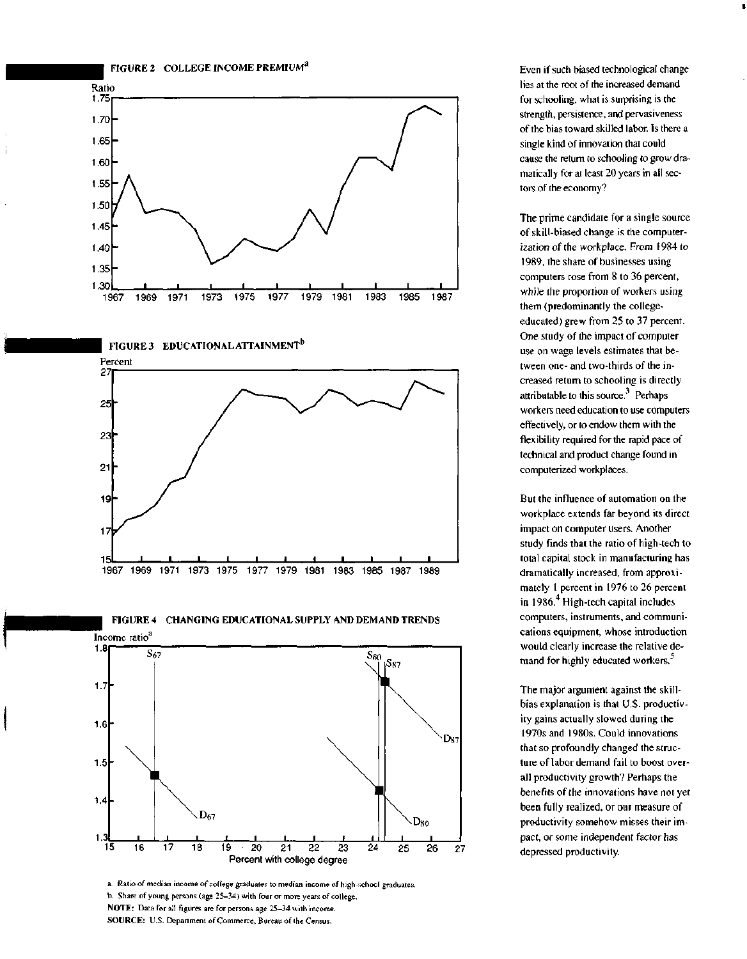







FIGURE 4 CHANGING EDUCATIONAL SUPPLY AND DEMAND TRENDS



a. Ratio of median income of college graduates to median income of high-school graduates. b. Share of young persons (age 25-34) with four or more years of college. **NOTE:** Data for all figures are for persons age 25-34 with income. **SOURCE:** U.S. Department of Commerce, Bureau of the Census.

Even if such biased technological change lies at the root of the increased demand for schooling, what is surprising is the strength, persistence, and pervasiveness of the bias toward skilled labor. Is there a single kind of innovation that could cause the return to schooling to grow dramatically for at least 20 years in all sectors of the economy?

The prime candidate for a single source of skill-biased change is the computerization of the workplace. From 1984 to 1989, the share of businesses using computers rose from 8 to 36 percent, while the proportion of workers using them (predominantly the collegeeducated) grew from 25 to 37 percent. One study of the impact of computer use on wage levels estimates that between one- and two-thirds of the increased return to schooling is directly attributable to this source.<sup>3</sup> Perhaps workers need education to use computers effectively, or to endow them with the flexibility required for the rapid pace of technical and product change found in computerized workplaces.

But the influence of automation on the workplace extends far beyond its direct impact on computer users. Another study finds that the ratio of high-tech to total capital stock in manufacturing has dramatically increased, from approximately 1 percent in 1976 to 26 percent in 1986.<sup>4</sup> High-tech capital includes computers, instruments, and communications equipment, whose introduction would clearly increase the relative demand for highly educated workers.'

The major argument against the skillbias explanation is that U.S. productivity gains actually slowed during the 1970s and 1980s. Could innovations that so profoundly changed the structure of labor demand fail to boost overall productivity growth? Perhaps the benefits of the innovations have not yet been fully realized, or our measure of productivity somehow misses their impact, or some independent factor has depressed productivity.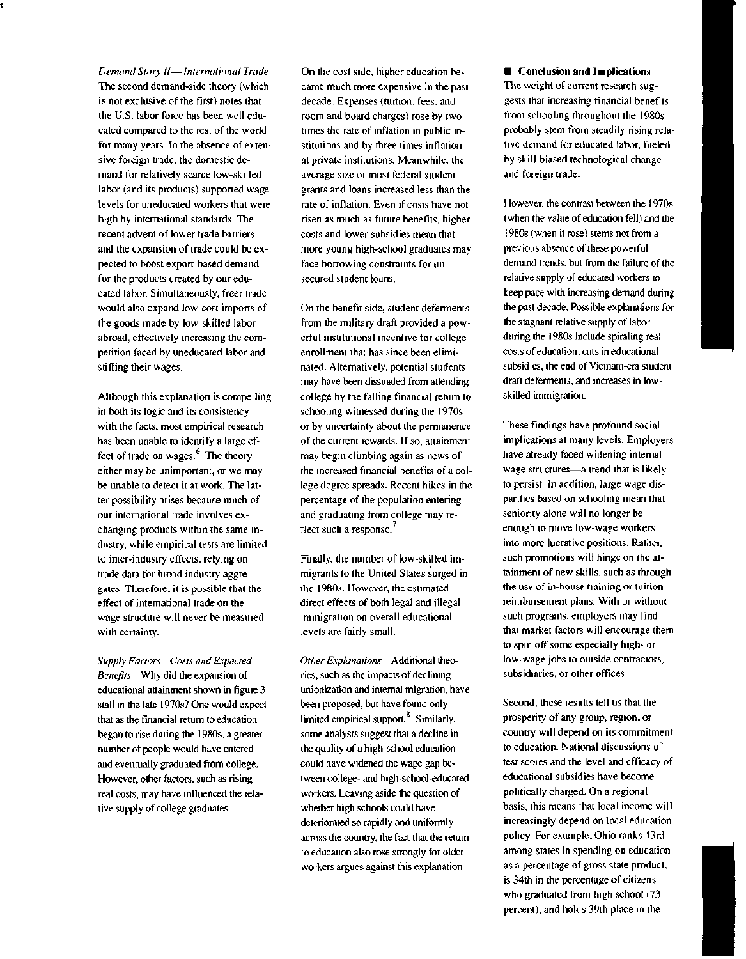*Demand Story II*—*International Trade* The second demand-side theory (which is not exclusive of the first) notes that the U.S. labor force has been well educated compared to the rest of the world for many years. In the absence of extensive foreign trade, the domestic demand for relatively scarce low-skilled labor (and its products) supported wage levels for uneducated workers that were high by international standards. The recent advent of lower trade barriers and the expansion of trade could be expected to boost export-based demand for the products created by our educated labor. Simultaneously, freer trade would also expand low-cost imports of the goods made by low-skilled labor abroad, effectively increasing the competition faced by uneducated labor and stifling their wages.

Although this explanation is compelling in both its logic and its consistency with the facts, most empirical research has been unable to identify a large effect of trade on wages. $<sup>6</sup>$  The theory</sup> either may be unimportant, or we may be unable to detect it at work. The latter possibility arises because much of our international trade involves exchanging products within the same industry, while empirical tests are limited to inter-industry effects, relying on trade data for broad industry aggregates. Therefore, it is possible that the effect of international trade on the wage structure will never be measured with certainty.

*Supply Factors*—*Costs and Expected Benefits* Why did the expansion of educational attainment shown in figure 3 stall in the late 1970s? One would expect that as the financial return to education began to rise during the 1980s, a greater number of people would have entered and eventually graduated from college. However, other factors, such as rising real costs, may have influenced the relative supply of college graduates.

On the cost side, higher education became much more expensive in the past decade. Expenses (tuition, fees, and room and board charges) rose by two times the rate of inflation in public institutions and by three times inflation at private institutions. Meanwhile, the average size of most federal student grants and loans increased less than the rate of inflation. Even if costs have not risen as much as future benefits, higher costs and lower subsidies mean that more young high-school graduates may face borrowing constraints for unsecured student loans.

On the benefit side, student deferments from the military draft provided a powerful institutional incentive for college enrollment that has since been eliminated. Alternatively, potential students may have been dissuaded from attending college by the falling financial return to schooling witnessed during the 1970s or by uncertainty about the permanence of the current rewards. If so, attainment may begin climbing again as news of the increased financial benefits of a college degree spreads. Recent hikes in the percentage of the population entering and graduating from college may reflect such a response. $<sup>7</sup>$ </sup>

Finally, the number of low-skilled immigrants to the United States surged in the 1980s. However, the estimated direct effects of both legal and illegal immigration on overall educational levels are fairly small.

*Other Explanations* Additional theories, such as the impacts of declining unionization and internal migration, have been proposed, but have found only limited empirical support.<sup>8</sup> Similarly, some analysts suggest that a decline in the quality of a high-school education could have widened the wage gap between college- and high-school-educated workers. Leaving aside the question of whether high schools could have deteriorated so rapidly and uniformly across the country, the fact that the return to education also rose strongly for older workers argues against this explanation.

**• Conclusion and Implications** The weight of current research suggests that increasing financial benefits from schooling throughout the 1980s probably stem from steadily rising relative demand for educated labor, fueled by skill-biased technological change and foreign trade.

However, the contrast between the 1970s (when the value of education fell) and the 1980s (when it rose) stems not from a previous absence of these powerful demand trends, but from the failure of the relative supply of educated workers to keep pace with increasing demand during the past decade. Possible explanations for the stagnant relative supply of labor during the 1980s include spiraling real costs of education, cuts in educational subsidies, the end of Vietnam-era student draft deferments, and increases in lowskilled immigration.

These findings have profound social implications at many levels. Employers have already faced widening internal wage structures—a trend that is likely to persist. In addition, large wage disparities based on schooling mean that seniority alone will no longer be enough to move low-wage workers into more lucrative positions. Rather, such promotions will hinge on the attainment of new skills, such as through the use of in-house training or tuition reimbursement plans. With or without such programs, employers may find that market factors will encourage them to spin off some especially high- or low-wage jobs to outside contractors, subsidiaries, or other offices.

Second, these results tell us that the prosperity of any group, region, or country will depend on its commitment to education. National discussions of test scores and the level and efficacy of educational subsidies have become politically charged. On a regional basis, this means that local income will increasingly depend on local education policy. For example, Ohio ranks 43rd among states in spending on education as a percentage of gross state product, is 34th in the percentage of citizens who graduated from high school (73 percent), and holds 39th place in the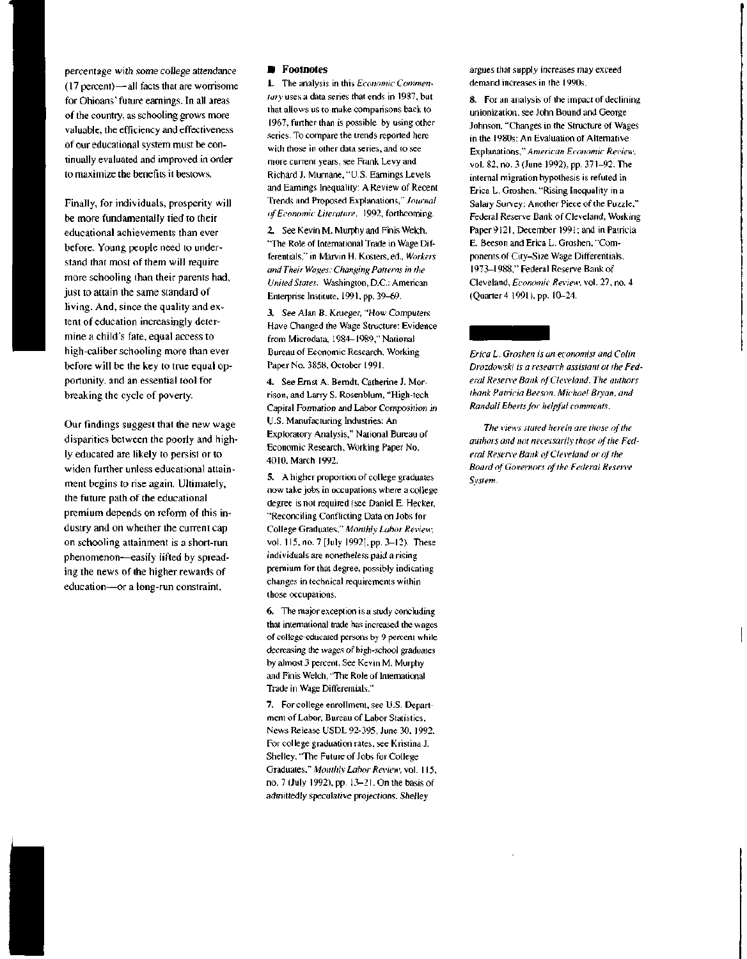percentage with some college attendance (17 percent)—all facts that are worrisome for Ohioans' future earnings. In all areas of the country, as schooling grows more valuable, the efficiency and effectiveness of our educational system must be continually evaluated and improved in order to maximize the benefits it bestows.

Finally, for individuals, prosperity will be more fundamentally tied to their educational achievements than ever before. Young people need to understand that most of them will require more schooling than their parents had, just to attain the same standard of living. And, since the quality and extent of education increasingly determine a child's fate, equal access to high-caliber schooling more than ever before will be the key to true equal opportunity, and an essential tool for breaking the cycle of poverty.

Our findings suggest that the new wage disparities between the poorly and highly educated are likely to persist or to widen further unless educational attainment begins to rise again. Ultimately, the future path of the educational premium depends on reform of this industry and on whether the current cap on schooling attainment is a short-run phenomenon—easily lifted by spreading the news of the higher rewards of education—or a long-run constraint.

#### **• Footnotes**

1. The analysis in this *Economic Commentary* uses a data series that ends in 1987, but that allows us to make comparisons back to 1967, further than is possible by using other series. To compare the trends reported here with those in other data series, and to see more current years, see Frank Levy and Richard J. Murnane, "U.S. Earnings Levels and Earnings Inequality: A Review of Recent Trends and Proposed Explanations," *Journal of Economic Literature,* 1992, forthcoming.

2. See Kevin M. Murphy and Finis Welch, "The Role of International Trade in Wage Differentials," in Marvin H. Kosters, ed., *Workers and Their Wages: Changing Patterns in the United States.* Washington, D.C.: American Enterprise Institute, 1991, pp. 39-69.

3. See Alan B. Krueger, "How Computers Have Changed the Wage Structure: Evidence from Microdata, 1984-1989," National Bureau of Economic Research, Working Paper No. 3858, October 1991.

4. See Ernst A. Berndt, Catherine J. Morrison, and Larry S. Rosenblum, "High-tech Capital Formation and Labor Composition in U.S. Manufacturing Industries: An Exploratory Analysis," National Bureau of Economic Research, Working Paper No. 4010, March 1992.

5. A higher proportion of college graduates now take jobs in occupations where a college degree is not required (see Daniel E. Hecker, "Reconciling Conflicting Data on Jobs for College Graduates," *Monthly Labor Review,* vol. 115, no. 7 [July 1992], pp. 3-12). These individuals are nonetheless paid a rising premium for that degree, possibly indicating changes in technical requirements within those occupations.

6. The major exception is a study concluding that international trade has increased the wages of college-educated persons by 9 percent while decreasing the wages of high-school graduates by almost 3 percent. See Kevin M. Murphy and Finis Welch, "The Role of International Trade in Wage Differentials."

7. For college enrollment, see U.S. Department of Labor, Bureau of Labor Statistics, News Release USDL 92-395, June 30, 1992. For college graduation rates, see Kristina J. Shelley, "The Future of Jobs for College Graduates," *Monthly Labor Review,* vol. 115, no. 7 (July 1992), pp. 13-21. On the basis of admittedly speculative projections, Shelley

argues that supply increases may exceed demand increases in the 1990s.

8. For an analysis of the impact of declining unionization, see John Bound and George Johnson, "Changes in the Structure of Wages in the 1980s: An Evaluation of Alternative Explanations," *American Economic Review,* vol. 82, no. 3 (June 1992), pp. 371-92. The internal migration hypothesis is refuted in Erica L. Groshen, "Rising Inequality in a Salary Survey: Another Piece of the Puzzle," Federal Reserve Bank of Cleveland, Working Paper 9121, December 1991; and in Patricia E. Beeson and Erica L. Groshen, "Components of City-Size Wage Differentials, 1973-1988," Federal Reserve Bank of Cleveland, *Economic Review,* vol. 27, no. 4 (Quarter 4 1991), pp. 10-24.

### *Erica L. Groshen is an economist and Colin Drozdowski is a research assistant at the Fed-*

*eral Resetye Bank of Cleveland. The authors thank Patricia Beeson, Michael Bryan, and Randall Ebertsfor helpful comments.*

*The views stated herein are those of the authors and not necessarily those of the Federal Resen'e Bank of Cleveland or of the Board of Governors of the Federal Reserve System.*